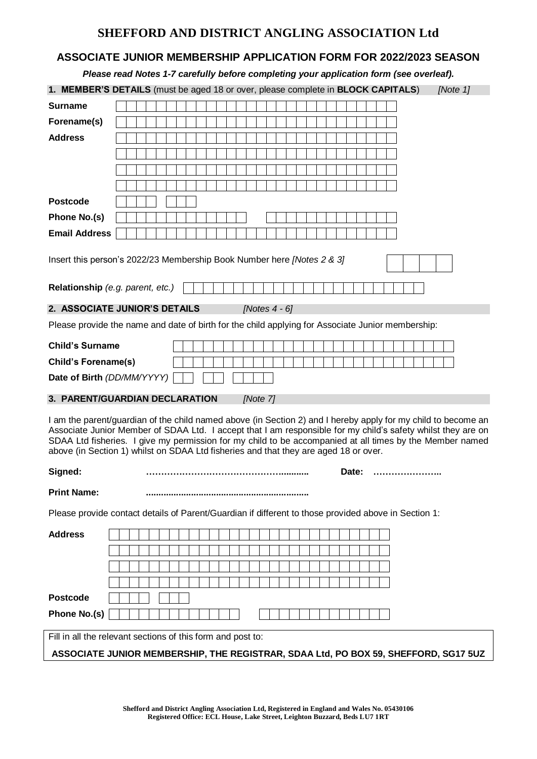## **SHEFFORD AND DISTRICT ANGLING ASSOCIATION Ltd**

## **ASSOCIATE JUNIOR MEMBERSHIP APPLICATION FORM FOR 2022/2023 SEASON**

|                                                                                     | Please read Notes 1-7 carefully before completing your application form (see overleaf).                                                                                                                                                                                                                                                                                                                                           |
|-------------------------------------------------------------------------------------|-----------------------------------------------------------------------------------------------------------------------------------------------------------------------------------------------------------------------------------------------------------------------------------------------------------------------------------------------------------------------------------------------------------------------------------|
|                                                                                     | 1. MEMBER'S DETAILS (must be aged 18 or over, please complete in BLOCK CAPITALS)<br>[Note 1]                                                                                                                                                                                                                                                                                                                                      |
| <b>Surname</b>                                                                      |                                                                                                                                                                                                                                                                                                                                                                                                                                   |
| Forename(s)                                                                         |                                                                                                                                                                                                                                                                                                                                                                                                                                   |
| <b>Address</b>                                                                      |                                                                                                                                                                                                                                                                                                                                                                                                                                   |
|                                                                                     |                                                                                                                                                                                                                                                                                                                                                                                                                                   |
|                                                                                     |                                                                                                                                                                                                                                                                                                                                                                                                                                   |
|                                                                                     |                                                                                                                                                                                                                                                                                                                                                                                                                                   |
| <b>Postcode</b>                                                                     |                                                                                                                                                                                                                                                                                                                                                                                                                                   |
| Phone No.(s)                                                                        |                                                                                                                                                                                                                                                                                                                                                                                                                                   |
| <b>Email Address</b>                                                                |                                                                                                                                                                                                                                                                                                                                                                                                                                   |
|                                                                                     | Insert this person's 2022/23 Membership Book Number here [Notes 2 & 3]                                                                                                                                                                                                                                                                                                                                                            |
|                                                                                     | Relationship (e.g. parent, etc.)                                                                                                                                                                                                                                                                                                                                                                                                  |
|                                                                                     | 2. ASSOCIATE JUNIOR'S DETAILS<br>[Notes $4 - 6$ ]                                                                                                                                                                                                                                                                                                                                                                                 |
|                                                                                     | Please provide the name and date of birth for the child applying for Associate Junior membership:                                                                                                                                                                                                                                                                                                                                 |
| <b>Child's Surname</b>                                                              |                                                                                                                                                                                                                                                                                                                                                                                                                                   |
| <b>Child's Forename(s)</b>                                                          |                                                                                                                                                                                                                                                                                                                                                                                                                                   |
|                                                                                     | Date of Birth (DD/MM/YYYY)                                                                                                                                                                                                                                                                                                                                                                                                        |
|                                                                                     | 3. PARENT/GUARDIAN DECLARATION<br>[Note 7]                                                                                                                                                                                                                                                                                                                                                                                        |
|                                                                                     |                                                                                                                                                                                                                                                                                                                                                                                                                                   |
|                                                                                     | I am the parent/guardian of the child named above (in Section 2) and I hereby apply for my child to become an<br>Associate Junior Member of SDAA Ltd. I accept that I am responsible for my child's safety whilst they are on<br>SDAA Ltd fisheries. I give my permission for my child to be accompanied at all times by the Member named<br>above (in Section 1) whilst on SDAA Ltd fisheries and that they are aged 18 or over. |
| Signed:                                                                             | Date:                                                                                                                                                                                                                                                                                                                                                                                                                             |
| <b>Print Name:</b>                                                                  |                                                                                                                                                                                                                                                                                                                                                                                                                                   |
|                                                                                     | Please provide contact details of Parent/Guardian if different to those provided above in Section 1:                                                                                                                                                                                                                                                                                                                              |
| <b>Address</b>                                                                      |                                                                                                                                                                                                                                                                                                                                                                                                                                   |
|                                                                                     |                                                                                                                                                                                                                                                                                                                                                                                                                                   |
|                                                                                     |                                                                                                                                                                                                                                                                                                                                                                                                                                   |
|                                                                                     |                                                                                                                                                                                                                                                                                                                                                                                                                                   |
| <b>Postcode</b>                                                                     |                                                                                                                                                                                                                                                                                                                                                                                                                                   |
| Phone No.(s)                                                                        |                                                                                                                                                                                                                                                                                                                                                                                                                                   |
|                                                                                     | Fill in all the relevant sections of this form and post to:                                                                                                                                                                                                                                                                                                                                                                       |
| ASSOCIATE JUNIOR MEMBERSHIP, THE REGISTRAR, SDAA Ltd, PO BOX 59, SHEFFORD, SG17 5UZ |                                                                                                                                                                                                                                                                                                                                                                                                                                   |
|                                                                                     |                                                                                                                                                                                                                                                                                                                                                                                                                                   |
|                                                                                     |                                                                                                                                                                                                                                                                                                                                                                                                                                   |